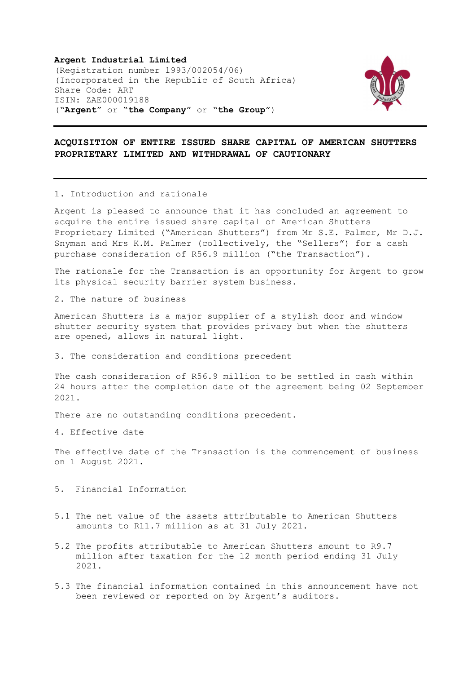Argent Industrial Limited (Registration number 1993/002054/06) (Incorporated in the Republic of South Africa) Share Code: ART ISIN: ZAE000019188 ("Argent" or "the Company" or "the Group")



## ACQUISITION OF ENTIRE ISSUED SHARE CAPITAL OF AMERICAN SHUTTERS PROPRIETARY LIMITED AND WITHDRAWAL OF CAUTIONARY

## 1. Introduction and rationale

Argent is pleased to announce that it has concluded an agreement to acquire the entire issued share capital of American Shutters Proprietary Limited ("American Shutters") from Mr S.E. Palmer, Mr D.J. Snyman and Mrs K.M. Palmer (collectively, the "Sellers") for a cash purchase consideration of R56.9 million ("the Transaction").

The rationale for the Transaction is an opportunity for Argent to grow its physical security barrier system business.

2. The nature of business

American Shutters is a major supplier of a stylish door and window shutter security system that provides privacy but when the shutters are opened, allows in natural light.

3. The consideration and conditions precedent

The cash consideration of R56.9 million to be settled in cash within 24 hours after the completion date of the agreement being 02 September 2021.

There are no outstanding conditions precedent.

4. Effective date

The effective date of the Transaction is the commencement of business on 1 August 2021.

- 5. Financial Information
- 5.1 The net value of the assets attributable to American Shutters amounts to R11.7 million as at 31 July 2021.
- 5.2 The profits attributable to American Shutters amount to R9.7 million after taxation for the 12 month period ending 31 July 2021.
- 5.3 The financial information contained in this announcement have not been reviewed or reported on by Argent's auditors.